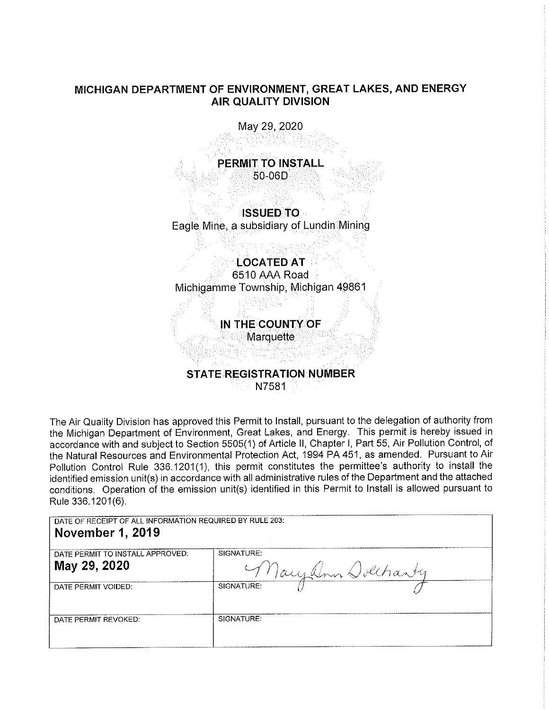## **MICHIGAN DEPARTMENT OF ENVIRONMENT, GREAT LAKES, AND ENERGY AIR QUALITY DIVISION**

May 29, 2020

**PERMIT TO INSTALL**  50-060

**ISSUED TO**  Eagle Mine, a subsidiary of Lundin Mining

# **LOCATED AT**

6510 AAA Road Michigamme Township, Michigan 49861

**IN THE COUNTY OF** 

**Marquette** 

# **STATE REGISTRATION NUMBER**  N7581

The Air Quality Division has approved this Permit to Install, pursuant to the delegation of authority from the Michigan Department of Environment, Great Lakes, and Energy. This permit is hereby issued in accordance with and subject to Section 5505(1) of Article 11, Chapter I, Part 55, Air Pollution Control, of the Natural Resources and Environmental Protection Act, 1994 PA 451, as amended. Pursuant to Air Pollution Control Rule 336.1201(1), this permit constitutes the permittee's authority to install the identified emission unit(s) in accordance with all administrative rules of the Department and the attached conditions. Operation of the emission unit(s) identified in this Permit to Install is allowed pursuant to Rule 336.1201(6).

DATE OF RECEIPT OF ALL INFORMATION REQUIRED BY RULE 203: **November 1, 2019** 

| DATE PERMIT TO INSTALL APPROVED: | SIGNATURE:         |
|----------------------------------|--------------------|
| May 29, 2020                     | Tacyalon Dolchanty |
| DATE PERMIT VOIDED:              | SIGNATURE:         |
| DATE PERMIT REVOKED:             | SIGNATURE:         |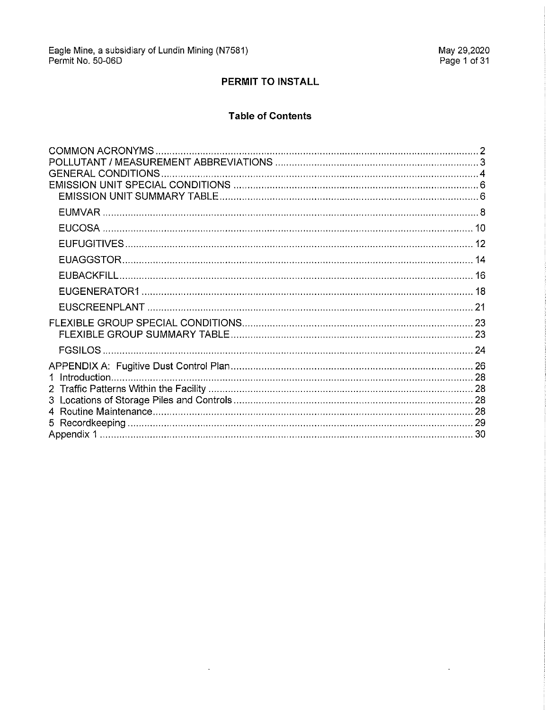$\hat{\mathbf{r}}$ 

# PERMIT TO INSTALL

### **Table of Contents**

 $\hat{\mathbf{z}}$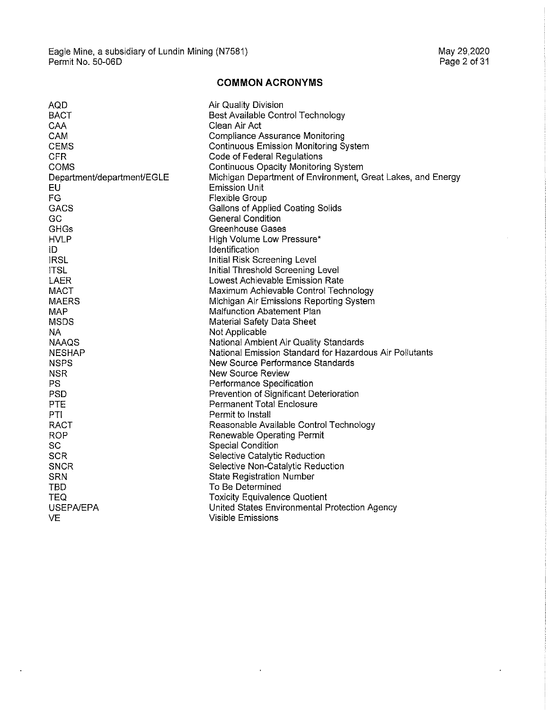$\bar{.}$ 

 $\hat{\mathcal{A}}$ 

# **COMMON ACRONYMS**

| AQD                        | <b>Air Quality Division</b>                                 |
|----------------------------|-------------------------------------------------------------|
| <b>BACT</b>                | Best Available Control Technology                           |
| CAA                        | Clean Air Act                                               |
| CAM                        | <b>Compliance Assurance Monitoring</b>                      |
| <b>CEMS</b>                | <b>Continuous Emission Monitoring System</b>                |
| <b>CFR</b>                 | Code of Federal Regulations                                 |
| <b>COMS</b>                | Continuous Opacity Monitoring System                        |
| Department/department/EGLE | Michigan Department of Environment, Great Lakes, and Energy |
| EU                         | <b>Emission Unit</b>                                        |
| FG                         | Flexible Group                                              |
| <b>GACS</b>                | Gallons of Applied Coating Solids                           |
| GC                         | <b>General Condition</b>                                    |
| <b>GHGs</b>                | <b>Greenhouse Gases</b>                                     |
| <b>HVLP</b>                | High Volume Low Pressure*                                   |
| ID                         | Identification                                              |
| <b>IRSL</b>                | Initial Risk Screening Level                                |
| <b>ITSL</b>                | Initial Threshold Screening Level                           |
| <b>LAER</b>                | Lowest Achievable Emission Rate                             |
| <b>MACT</b>                | Maximum Achievable Control Technology                       |
| <b>MAERS</b>               | Michigan Air Emissions Reporting System                     |
| MAP                        | <b>Malfunction Abatement Plan</b>                           |
| <b>MSDS</b>                | Material Safety Data Sheet                                  |
| NA.                        | Not Applicable                                              |
| <b>NAAQS</b>               | National Ambient Air Quality Standards                      |
| <b>NESHAP</b>              | National Emission Standard for Hazardous Air Pollutants     |
| <b>NSPS</b>                | New Source Performance Standards                            |
| <b>NSR</b>                 | New Source Review                                           |
| PS                         | Performance Specification                                   |
| <b>PSD</b>                 | Prevention of Significant Deterioration                     |
| <b>PTE</b>                 | <b>Permanent Total Enclosure</b>                            |
| PTI                        | Permit to Install                                           |
| RACT                       | Reasonable Available Control Technology                     |
| <b>ROP</b>                 | Renewable Operating Permit                                  |
| SC                         | Special Condition                                           |
| <b>SCR</b>                 | Selective Catalytic Reduction                               |
| <b>SNCR</b>                | Selective Non-Catalytic Reduction                           |
| <b>SRN</b>                 | <b>State Registration Number</b>                            |
| TBD                        | To Be Determined                                            |
| <b>TEQ</b>                 | <b>Toxicity Equivalence Quotient</b>                        |
| <b>USEPA/EPA</b>           | United States Environmental Protection Agency               |
| VE                         | Visible Emissions                                           |

 $\hat{\mathbf{r}}$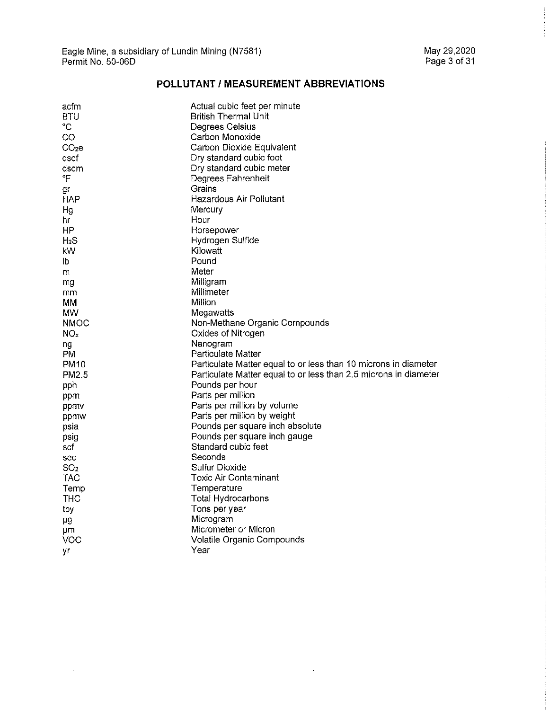$\hat{\mathcal{A}}$ 

# **POLLUTANT/ MEASUREMENT ABBREVIATIONS**

| acfm             | Actual cubic feet per minute                                     |
|------------------|------------------------------------------------------------------|
| BTU              | <b>British Thermal Unit</b>                                      |
| °C               | Degrees Celsius                                                  |
| CO               | Carbon Monoxide                                                  |
| $CO2$ e          | Carbon Dioxide Equivalent                                        |
| dscf             | Dry standard cubic foot                                          |
| dscm             | Dry standard cubic meter                                         |
| °F               | Degrees Fahrenheit                                               |
| gr               | Grains                                                           |
| HAP              | Hazardous Air Pollutant                                          |
| Hg               | <b>Mercury</b>                                                   |
| hr               | Hour                                                             |
| ΗP               | Horsepower                                                       |
| H <sub>2</sub> S | Hydrogen Sulfide                                                 |
| kW               | Kilowatt                                                         |
| lb               | Pound                                                            |
| m                | Meter                                                            |
| mg               | Milligram                                                        |
| mm               | Millimeter                                                       |
| MM.              | Million                                                          |
| <b>MW</b>        | Megawatts                                                        |
| <b>NMOC</b>      | Non-Methane Organic Compounds                                    |
| $NO_{x}$         | Oxides of Nitrogen                                               |
| ng               | Nanogram                                                         |
| PM.              | Particulate Matter                                               |
| PM <sub>10</sub> | Particulate Matter equal to or less than 10 microns in diameter  |
| PM2.5            | Particulate Matter equal to or less than 2.5 microns in diameter |
| pph              | Pounds per hour                                                  |
| ppm              | Parts per million                                                |
| ppmy             | Parts per million by volume                                      |
| ppmw             | Parts per million by weight                                      |
| psia             | Pounds per square inch absolute                                  |
| psig             | Pounds per square inch gauge                                     |
| scf              | Standard cubic feet                                              |
| sec              | Seconds                                                          |
| SO <sub>2</sub>  | Sulfur Dioxide                                                   |
| <b>TAC</b>       | Toxic Air Contaminant                                            |
| Temp             | Temperature                                                      |
| THC              | Total Hydrocarbons                                               |
| tpy              | Tons per year                                                    |
| μg               | Microgram                                                        |
| μm               | Micrometer or Micron                                             |
| VOC              | Volatile Organic Compounds                                       |
| ٧r               | Year                                                             |
|                  |                                                                  |

 $\hat{\mathbf{r}}$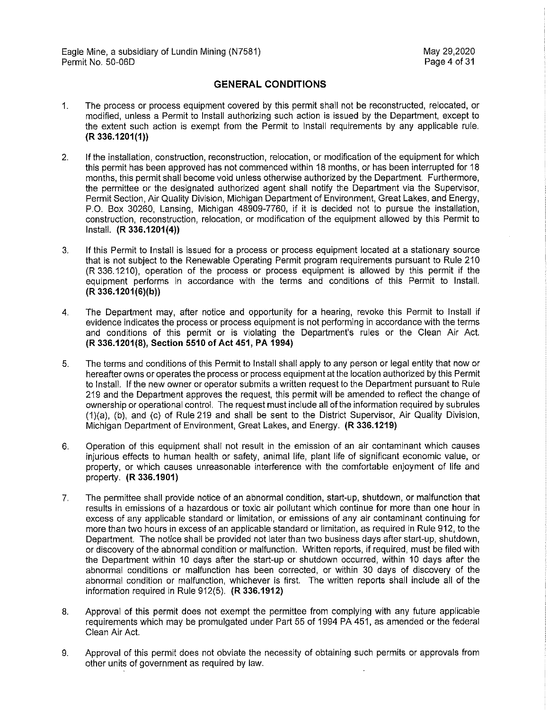### **GENERAL CONDITIONS**

- 1. The process or process equipment covered by this permit shall not be reconstructed, relocated, or modified, unless a Permit to Install authorizing such action is issued by the Department, except to the extent such action is exempt from the Permit to Install requirements by any applicable rule. **(R 336.1201(1))**
- 2. If the installation, construction, reconstruction, relocation, or modification of the equipment for which this permit has been approved has not commenced within 18 months, or has been interrupted for 18 months, this permit shall become void unless otherwise authorized by the Department. Furthermore, the permittee or the designated authorized agent shall notify the Department via the Supervisor, Permit Section, Air Quality Division, Michigan Department of Environment, Great Lakes, and Energy, P.O. Box 30260, Lansing, Michigan 48909-7760, if it is decided not to pursue the installation, construction, reconstruction, relocation, or modification of the equipment allowed by this Permit to Install. **(R 336.1201(4))**
- 3. If this Permit to Install is issued for a process or process equipment located at a stationary source that is not subject to the Renewable Operating Permit program requirements pursuant to Rule 210 (R 336.1210), operation of the process or process equipment is allowed by this permit if the equipment performs in accordance with the terms and conditions of this Permit to Install. **(R 336.1201(6)(b))**
- 4. The Department may, after notice and opportunity for a hearing, revoke this Permit to Install if evidence indicates the process or process equipment is not performing in accordance with the terms and conditions of this permit or is violating the Department's rules or the Clean Air Act. **(R 336.1201(8), Section 5510 of Act 451, PA 1994)**
- 5. The terms and conditions of this Permit to Install shall apply to any person or legal entity that now or hereafter owns or operates the process or process equipment at the location authorized by this Permit to Install. If the new owner or operator submits a written request to the Department pursuant to Rule 219 and the Department approves the request, this permit will be amended to reflect the change of ownership or operational control. The request must include all of the information required by subrules (1)(a), (b), and (c) of Rule 219 and shall be sent to the District Supervisor, Air Quality Division, Michigan Department of Environment, Great Lakes, and Energy. **(R 336.1219)**
- 6. Operation of this equipment shall not result in the emission of an air contaminant which causes injurious effects to human health or safety, animal life, plant life of significant economic value, or property, or which causes unreasonable interference with the comfortable enjoyment of life and property. **(R 336.1901)**
- 7. The permittee shall provide notice of an abnormal condition, start-up, shutdown, or malfunction that results in emissions of a hazardous or toxic air pollutant which continue for more than one hour in excess of any applicable standard or limitation, or emissions of any air contaminant continuing for more than two hours in excess of an applicable standard or limitation, as required in Rule 912, to the Department. The notice shall be provided not later than two business days after start-up, shutdown, or discovery of the abnormal condition or malfunction. Written reports, if required, must be filed with the Department within 10 days after the start-up or shutdown occurred, within 10 days after the abnormal conditions or malfunction has been corrected, or within 30 days of discovery of the abnormal condition or malfunction, whichever is first. The written reports shall include all of the information required in Rule 912(5). **(R 336.1912)**
- 8. Approval of this permit does not exempt the permittee from complying with any future applicable requirements which may be promulgated under Part 55 of 1994 PA 451, as amended or the federal Clean Air Act.
- 9. Approval of this permit does not obviate the necessity of obtaining such permits or approvals from other units of government as required by law.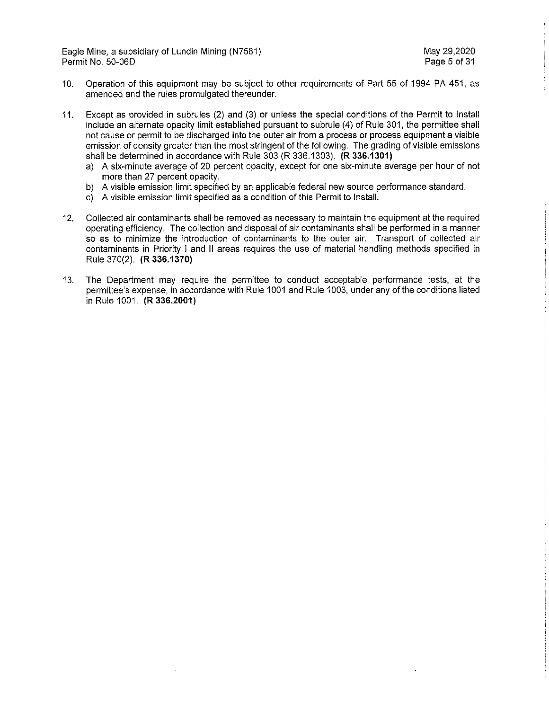Eagle Mine, a subsidiary of Lundin Mining (N7581) May 29,2020 Permit No. 50-06D Page 5 of 31

- 10. Operation of this equipment may be subject to other requirements of Part 55 of 1994 PA 451, as amended and the rules promulgated thereunder.
- 11. Except as provided in subrules (2) and (3) or unless the special conditions of the Permit to Install include an alternate opacity limit established pursuant to subrule (4) of Rule 301, the permittee shall not cause or permit to be discharged into the outer air from a process or process equipment a visible emission of density greater than the most stringent of the following. The grading of visible emissions shall be determined in accordance with Rule 303 (R 336.1303). **(R 336.1301)** 
	- a) A six-minute average of 20 percent opacity, except for one six-minute average per hour of not more than 27 percent opacity.
	- b) A visible emission limit specified by an applicable federal new source performance standard.
	- c) A visible emission limit specified as a condition of this Permit to Install.
- 12. Collected air contaminants shall be removed as necessary to maintain the equipment at the required operating efficiency. The collection and disposal of air contaminants shall be performed in a manner so as to minimize the introduction of contaminants to the outer air. Transport of collected air contaminants in Priority I and II areas requires the use of material handling methods specified in Rule 370(2). **(R 336.1370)**
- 13. The Department may require the permittee to conduct acceptable performance tests, at the permittee's expense, in accordance with Rule 1001 and Rule 1003, under any of the conditions listed in Rule 1001. **(R 336.2001)**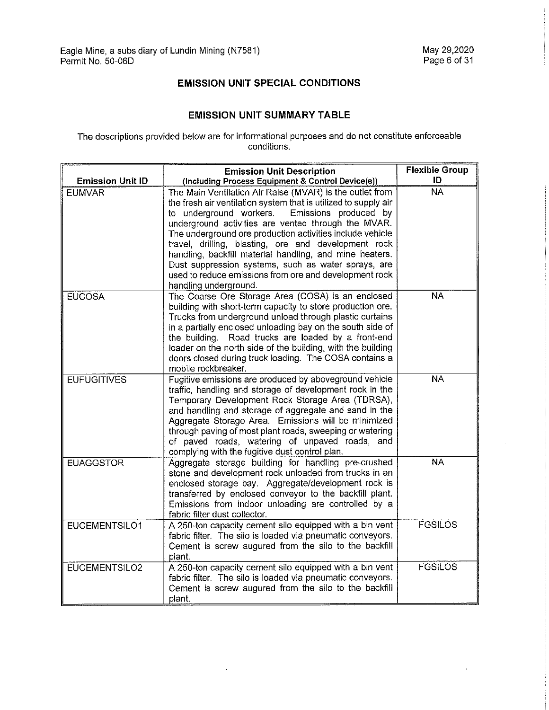# **EMISSION UNIT SPECIAL CONDITIONS**

### **EMISSION UNIT SUMMARY TABLE**

The descriptions provided below are for informational purposes and do not constitute enforceable conditions.

|                         | <b>Emission Unit Description</b>                                                                                                                                                                                                                                                                                                                                                                                                                                                                                                                                 | <b>Flexible Group</b> |
|-------------------------|------------------------------------------------------------------------------------------------------------------------------------------------------------------------------------------------------------------------------------------------------------------------------------------------------------------------------------------------------------------------------------------------------------------------------------------------------------------------------------------------------------------------------------------------------------------|-----------------------|
| <b>Emission Unit ID</b> | (Including Process Equipment & Control Device(s))                                                                                                                                                                                                                                                                                                                                                                                                                                                                                                                | ID                    |
| <b>EUMVAR</b>           | The Main Ventilation Air Raise (MVAR) is the outlet from<br>the fresh air ventilation system that is utilized to supply air<br>Emissions produced by<br>to underground workers.<br>underground activities are vented through the MVAR.<br>The underground ore production activities include vehicle<br>travel, drilling, blasting, ore and development rock<br>handling, backfill material handling, and mine heaters.<br>Dust suppression systems, such as water sprays, are<br>used to reduce emissions from ore and development rock<br>handling underground. | <b>NA</b>             |
| <b>EUCOSA</b>           | The Coarse Ore Storage Area (COSA) is an enclosed<br>building with short-term capacity to store production ore.<br>Trucks from underground unload through plastic curtains<br>in a partially enclosed unloading bay on the south side of<br>the building. Road trucks are loaded by a front-end<br>loader on the north side of the building, with the building<br>doors closed during truck loading. The COSA contains a<br>mobile rockbreaker.                                                                                                                  | <b>NA</b>             |
| <b>EUFUGITIVES</b>      | Fugitive emissions are produced by aboveground vehicle<br>traffic, handling and storage of development rock in the<br>Temporary Development Rock Storage Area (TDRSA),<br>and handling and storage of aggregate and sand in the<br>Aggregate Storage Area. Emissions will be minimized<br>through paving of most plant roads, sweeping or watering<br>of paved roads, watering of unpaved roads, and<br>complying with the fugitive dust control plan.                                                                                                           | <b>NA</b>             |
| <b>EUAGGSTOR</b>        | Aggregate storage building for handling pre-crushed<br>stone and development rock unloaded from trucks in an<br>enclosed storage bay. Aggregate/development rock is<br>transferred by enclosed conveyor to the backfill plant.<br>Emissions from indoor unloading are controlled by a<br>fabric filter dust collector.                                                                                                                                                                                                                                           | <b>NA</b>             |
| EUCEMENTSILO1           | A 250-ton capacity cement silo equipped with a bin vent<br>fabric filter. The silo is loaded via pneumatic conveyors.<br>Cement is screw augured from the silo to the backfill<br>plant.                                                                                                                                                                                                                                                                                                                                                                         | <b>FGSILOS</b>        |
| EUCEMENTSILO2           | A 250-ton capacity cement silo equipped with a bin vent<br>fabric filter. The silo is loaded via pneumatic conveyors.<br>Cement is screw augured from the silo to the backfill<br>plant.                                                                                                                                                                                                                                                                                                                                                                         | <b>FGSILOS</b>        |

 $\hat{\mathbf{r}}$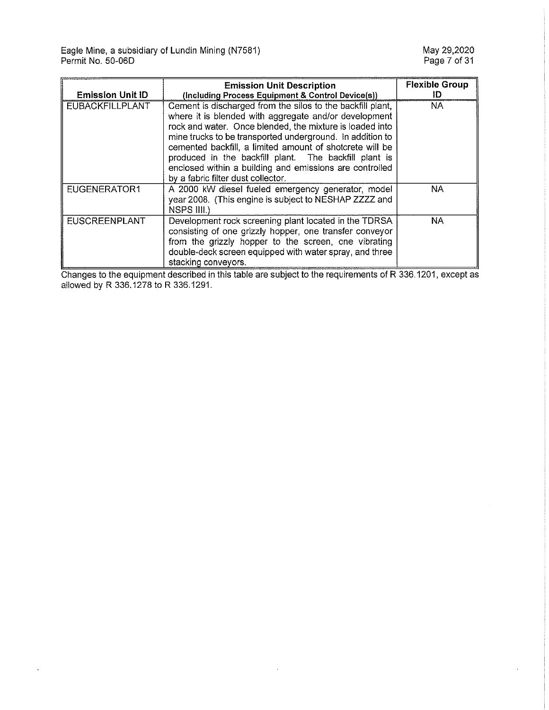$\sim$ 

| <b>Emission Unit ID</b> | <b>Emission Unit Description</b><br>(Including Process Equipment & Control Device(s))                                                                                                                                                                                                                                                                                                                                                                              | <b>Flexible Group</b><br>ID |
|-------------------------|--------------------------------------------------------------------------------------------------------------------------------------------------------------------------------------------------------------------------------------------------------------------------------------------------------------------------------------------------------------------------------------------------------------------------------------------------------------------|-----------------------------|
| <b>EUBACKFILLPLANT</b>  | Cement is discharged from the silos to the backfill plant,<br>where it is blended with aggregate and/or development<br>rock and water. Once blended, the mixture is loaded into<br>mine trucks to be transported underground. In addition to<br>cemented backfill, a limited amount of shotcrete will be<br>produced in the backfill plant. The backfill plant is<br>enclosed within a building and emissions are controlled<br>by a fabric filter dust collector. | <b>NA</b>                   |
| <b>EUGENERATOR1</b>     | A 2000 kW diesel fueled emergency generator, model<br>year 2008. (This engine is subject to NESHAP ZZZZ and<br>NSPS III.)                                                                                                                                                                                                                                                                                                                                          | NA                          |
| <b>EUSCREENPLANT</b>    | Development rock screening plant located in the TDRSA<br>consisting of one grizzly hopper, one transfer conveyor<br>from the grizzly hopper to the screen, one vibrating<br>double-deck screen equipped with water spray, and three<br>stacking conveyors.                                                                                                                                                                                                         | NA.                         |

Changes to the equipment described in this table are subject to the requirements of R 336.1201, except as allowed by R 336.1278 to R 336.1291.

 $\epsilon$ 

÷,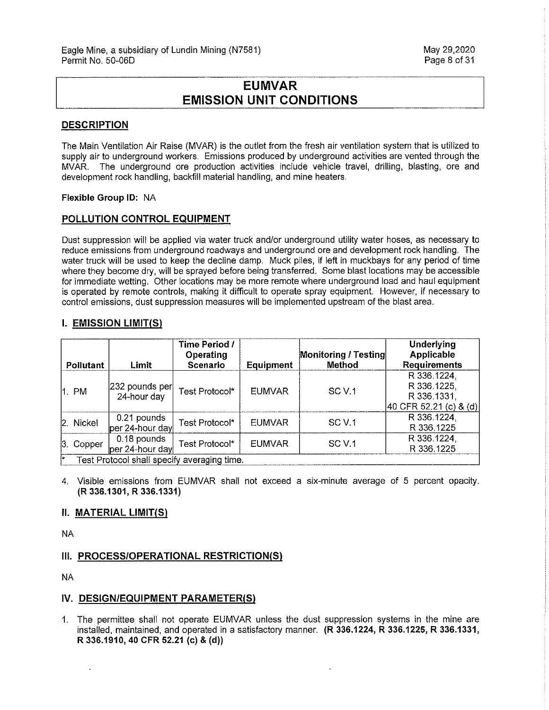# **EUMVAR EMISSION UNIT CONDITIONS**

#### **DESCRIPTION**

The Main Ventilation Air Raise (MVAR) is the outlet from the fresh air ventilation system that is utilized to supply air to underground workers. Emissions produced by underground activities are vented through the MVAR. The underground ore production activities include vehicle travel, drilling, blasting, ore and development rock handling, backfill material handling, and mine heaters.

#### **Flexible Group ID:** NA

### **POLLUTION CONTROL EQUIPMENT**

Dust suppression will be applied via water truck and/or underground utility water hoses, as necessary to reduce emissions from underground roadways and underground ore and development rock handling. The water truck will be used to keep the decline damp. Muck piles, if left in muckbays for any period of time where they become dry, will be sprayed before being transferred. Some blast locations may be accessible for immediate wetting. Other locations may be more remote where underground load and haul equipment is operated by remote controls, making it difficult to operate spray equipment. However, if necessary to control emissions, dust suppression measures will be implemented upstream of the blast area.

#### **I. EMISSION LIMIT(Sl**

|     |                                             |                                | Time Period /<br>Operating |               | Monitoring / Testing | <b>Underlying</b><br><b>Applicable</b>                              |
|-----|---------------------------------------------|--------------------------------|----------------------------|---------------|----------------------|---------------------------------------------------------------------|
|     | Pollutant                                   | Limit                          | <b>Scenario</b>            | Equipment     | Method               | <b>Requirements</b>                                                 |
|     | 1. PM                                       | 232 pounds per<br>24-hour day  | Test Protocol*             | <b>EUMVAR</b> | SC <sub>V</sub> .1   | R 336.1224,<br>R 336.1225,<br>R 336.1331,<br>40 CFR 52.21 (c) & (d) |
|     | 2. Nickel                                   | 0.21 pounds<br>per 24-hour day | Test Protocol*             | <b>EUMVAR</b> | SC <sub>V</sub> .1   | R 336.1224,<br>R 336.1225                                           |
|     | 3. Copper                                   | 0.18 pounds<br>per 24-hour day | Test Protocol*             | <b>EUMVAR</b> | SC <sub>V.1</sub>    | R 336.1224,<br>R 336,1225                                           |
| ĺA. | Test Protocol shall specify averaging time. |                                |                            |               |                      |                                                                     |

4. Visible emissions from EUMVAR shall not exceed a six-minute average of 5 percent opacity. **(R 336.1301, R 336.1331)** 

#### **II. MATERIAL LIMIT(S)**

NA

#### **III. PROCESS/OPERATIONAL RESTRICTION(S)**

NA

#### **IV. DESIGN/EQUIPMENT PARAMETER(S)**

1. The permittee shall not operate EUMVAR unless the dust suppression systems in the mine are installed, maintained, and operated in a satisfactory manner. **(R 336.1224, R 336.1225, R 336.1331, R 336.1910, 40 CFR 52.21 (c)** & **(d))**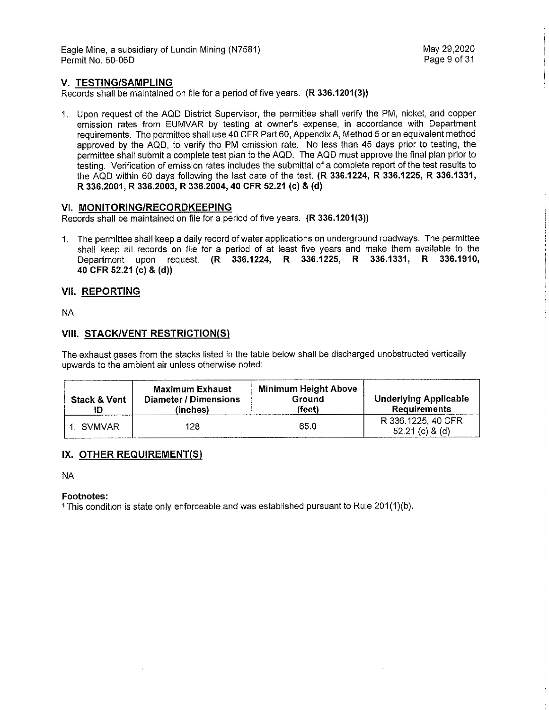Eagle Mine, a subsidiary of Lundin Mining (N7581) May 29,2020 Permit No. 50-06D

#### **V. TESTING/SAMPLING**

Records shall be maintained on file for a period of five years. **(R 336.1201(3))** 

1. Upon request of the AQD District Supervisor, the permittee shall verify the PM, nickel, and copper emission rates from EUMVAR by testing at owner's expense, in accordance with Department requirements. The permittee shall use 40 CFR Part 60, Appendix A, Method 5 or an equivalent method approved by the AQD, to verify the PM emission rate. No less than 45 days prior to testing, the permittee shall submit a complete test plan to the AQD. The AQD must approve the final plan prior to testing. Verification of emission rates includes the submittal of a complete report of the test results to the AQD within 60 days following the last date of the test. **(R 336.1224, R 336.1225, R 336.1331, R 336.2001, R 336.2003, R 336.2004, 40 CFR 52.21 (c)** & **(d)** 

#### **VI. MONITORING/RECORDKEEPING**

Records shall be maintained on file for a period of five years. **(R 336.1201(3))** 

1. The permittee shall keep a daily record of water applications on underground roadways. The permittee shall keep all records on file for a period of at least five years and make them available to the Department upon request. **(R 336.1224, R 336.1225, R 336.1331, R 336.1910, 40 CFR 52.21 (c) & (d))** 

#### **VII. REPORTING**

NA

#### **VIII. STACK/VENT RESTRICTION(S)**

The exhaust gases from the stacks listed in the table below shall be discharged unobstructed vertically upwards to the ambient air unless otherwise noted:

| <b>Stack &amp; Vent</b> | <b>Maximum Exhaust</b><br>Diameter / Dimensions<br>(inches) | <b>Minimum Height Above</b><br>Ground<br>(feet) | <b>Underlying Applicable</b><br><b>Requirements</b> |
|-------------------------|-------------------------------------------------------------|-------------------------------------------------|-----------------------------------------------------|
| ∴ SVMVAR                | 128                                                         | 65.0                                            | R 336.1225, 40 CFR<br>$52.21$ (c) $8$ (d)           |

#### **IX. OTHER REQUIREMENT(S)**

NA

#### **Footnotes:**

1 This condition is state only enforceable and was established pursuant to Rule 201(1)(b).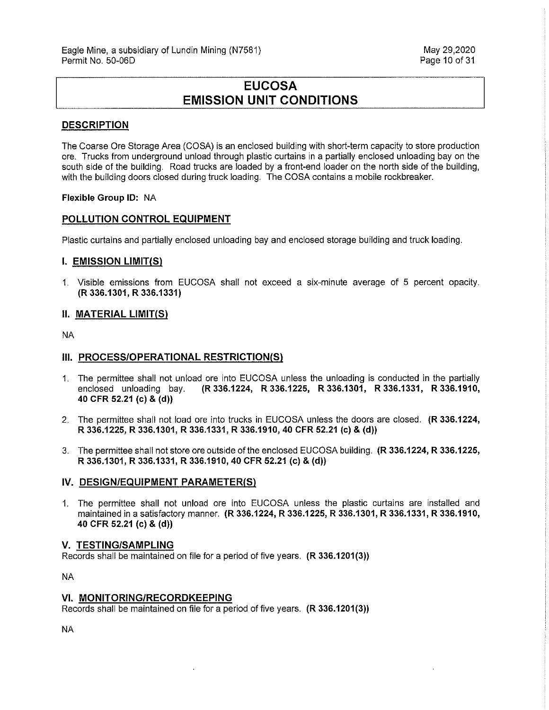# **EUCOSA EMISSION UNIT CONDITIONS**

#### **DESCRIPTION**

The Coarse Ore Storage Area (GOSA) is an enclosed building with short-term capacity to store production ore. Trucks from underground unload through plastic curtains in a partially enclosed unloading bay on the south side of the building. Road trucks are loaded by a front-end loader on the north side of the building, with the building doors closed during truck loading. The GOSA contains a mobile rockbreaker.

#### **Flexible Group ID:** NA

#### **POLLUTION CONTROL EQUIPMENT**

Plastic curtains and partially enclosed unloading bay and enclosed storage building and truck loading.

#### **I. EMISSION LIMIT(S)**

1. Visible emissions from EUCOSA shall not exceed a six-minute average of 5 percent opacity. **(R 336.1301, R 336.1331)** 

#### **II. MATERIAL LIMIT(S)**

NA

#### **Ill. PROCESS/OPERATIONAL RESTRICTION(S)**

- 1. The permittee shall not unload ore into EUCOSA unless the unloading is conducted in the partially enclosed unloading bay. **(R 336.1224, R 336.1225, R 336.1301, R 336.1331, R 336.1910, 40 CFR 52.21 (c) & (d))**
- 2. The permittee shall not load ore into trucks in EUCOSA unless the doors are closed. **(R 336.1224, R 336.1225, R 336.1301, R 336.1331, R 336.1910, 40 CFR 52.21 (c)** & **(d))**
- 3. The permittee shall not store ore outside of the enclosed EUCOSA building. **(R 336.1224, R 336.1225, R 336.1301, R 336.1331, R 336.1910, 40 CFR 52.21 (c)** & **(d))**

#### IV. DESIGN/EQUIPMENT PARAMETER(S)

1. The permittee shall not unload ore into EUCOSA unless the plastic curtains are installed and maintained in a satisfactory manner. **(R 336.1224, R 336.1225, R 336.1301, R 336.1331, R 336.1910, 40 CFR 52.21 (c)** & **(d))** 

#### **V. TESTING/SAMPLING**

Records shall be maintained on file for a period of five years. **(R 336.1201(3))** 

NA

#### **VI. MONITORING/RECORDKEEPING**

Records shall be maintained on file for a period of five years. **(R 336.1201 (3))** 

NA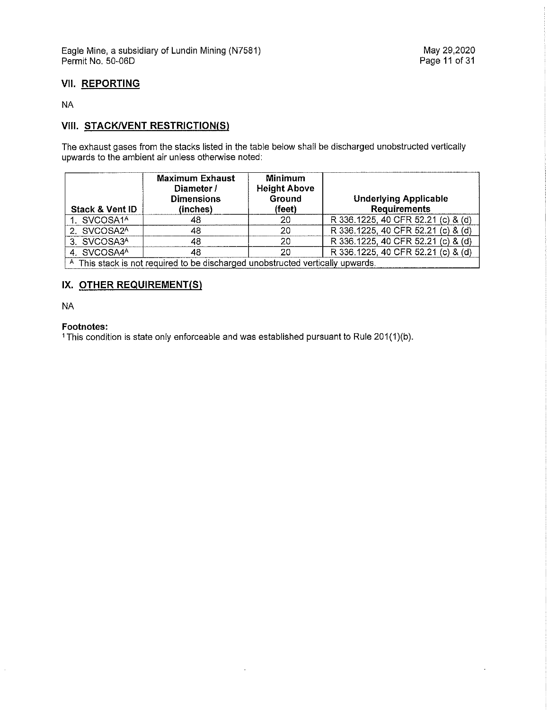### **VII. REPORTING**

NA

# **VIII. STACK/VENT RESTRICTION(S)**

The exhaust gases from the stacks listed in the table below shall be discharged unobstructed vertically upwards to the ambient air unless otherwise noted:

| <b>Stack &amp; Vent ID</b> | Maximum Exhaust<br>Diameter /<br><b>Dimensions</b><br>(inches)                 | Minimum<br><b>Height Above</b><br>Ground<br>(feet) | <b>Underlying Applicable</b><br><b>Requirements</b> |
|----------------------------|--------------------------------------------------------------------------------|----------------------------------------------------|-----------------------------------------------------|
| 1. SVCOSA1 <sup>A</sup>    | 48                                                                             | 20                                                 | R 336.1225, 40 CFR 52.21 (c) & (d)                  |
| 2. SVCOSA2A                | 48                                                                             | 20                                                 | R 336.1225, 40 CFR 52.21 (c) & (d)                  |
| 3. SVCOSA3A                | 48                                                                             | 20                                                 | R 336.1225, 40 CFR 52.21 (c) & (d)                  |
| 4. SVCOSA4A                | 48                                                                             | 20                                                 | R 336 1225, 40 CFR 52.21 (c) & (d)                  |
|                            | A This stack is not required to be discharged unobstructed vertically upwards. |                                                    |                                                     |

### **IX. OTHER REQUIREMENT(S)**

NA

#### **Footnotes:**

1 This condition is state only enforceable and was established pursuant to Rule 201(1)(b).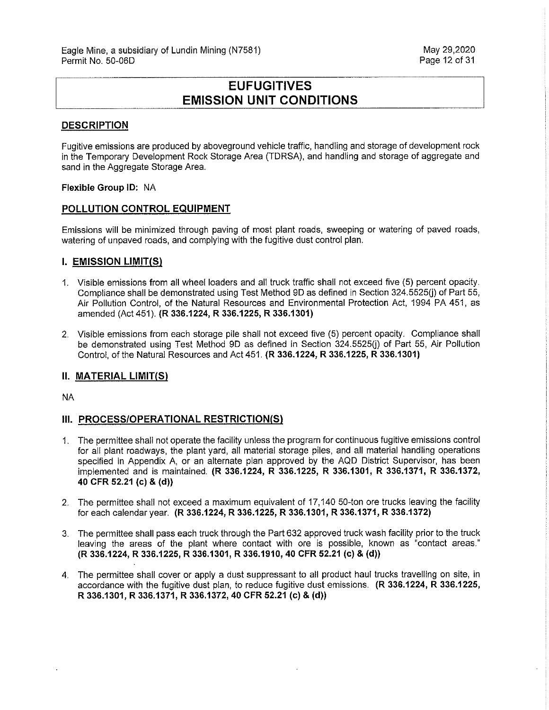# **EUFUGITIVES EMISSION UNIT CONDITIONS**

#### **DESCRIPTION**

Fugitive emissions are produced by aboveground vehicle traffic, handling and storage of development rock in the Temporary Development Rock Storage Area (TDRSA), and handling and storage of aggregate and sand in the Aggregate Storage Area.

#### **Flexible Group ID:** NA

#### **POLLUTION CONTROL EQUIPMENT**

Emissions will be minimized through paving of most plant roads, sweeping or watering of paved roads, watering of unpaved roads, and complying with the fugitive dust control plan.

#### **I. EMISSION LIMIT(S)**

- 1. Visible emissions from all wheel loaders and all truck traffic shall not exceed five (5) percent opacity. Compliance shall be demonstrated using Test Method 9D as defined in Section 324.5525(i) of Part 55, Air Pollution Control, of the Natural Resources and Environmental Protection Act, 1994 PA 451, as amended (Act 451). **(R 336.1224, R 336.1225, R 336.1301)**
- 2. Visible emissions from each storage pile shall not exceed five (5) percent opacity. Compliance shall be demonstrated using Test Method 9D as defined in Section 324.5525(j) of Part 55, Air Pollution Control, of the Natural Resources and Act 451. **(R 336.1224, R 336.1225, R 336.1301)**

#### **II. MATERIAL LIMIT(Sl**

NA

#### **Ill. PROCESS/OPERATIONAL RESTRICTION(S)**

- 1. The permittee shall not operate the facility unless the program for continuous fugitive emissions control for all plant roadways, the plant yard, all material storage piles, and all material handling operations specified in Appendix A, or an alternate plan approved by the AQD District Supervisor, has been implemented and is maintained. **(R 336.1224, R 336.1225, R 336.1301, R 336.1371, R 336.1372, 40 CFR 52.21 (c) & (d))**
- 2. The permittee shall not exceed a maximum equivalent of 17,140 50-ton ore trucks leaving the facility for each calendar year. **(R 336.1224, R 336.1225, R 336.1301, R 336.1371, R 336.1372)**
- 3. The permittee shall pass each truck through the Part 632 approved truck wash facility prior to the truck leaving the areas of the plant where contact with ore is possible, known as "contact areas." **(R 336.1224, R 336.1225, R 336.1301, R 336.1910, 40 CFR 52.21 (c) & (d))**
- 4. The permittee shall cover or apply a dust suppressant to all product haul trucks travelling on site, in accordance with the fugitive dust plan, to reduce fugitive dust emissions. **(R 336.1224, R 336.1225, R 336.1301, R 336.1371, R 336.1372, 40 CFR 52.21 (c) & (d))**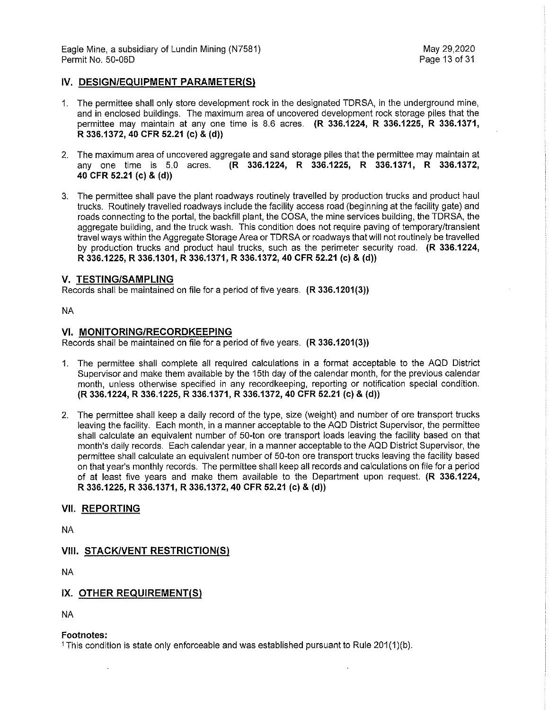Eagle Mine, a subsidiary of Lundin Mining (N7581) May 29,2020 Permit No. 50-06D

#### **IV. DESIGN/EQUIPMENT PARAMETER(S)**

- 1. The permittee shall only store development rock in the designated TDRSA, in the underground mine, and in enclosed buildings. The maximum area of uncovered development rock storage piles that the permittee may maintain at any one time is 8.6 acres. **(R 336.1224, R 336.1225, R 336.1371, R 336.1372, 40 CFR 52.21 (c) & (d))**
- 2. The maximum area of uncovered aggregate and sand storage piles that the permittee may maintain at any one time is 5.0 acres. **(R 336.1224, R 336.1225, R 336.1371, R 336.1372, 40 CFR 52.21 (c)** & **(d))**
- 3. The permittee shall pave the plant roadways routinely travelled by production trucks and product haul trucks. Routinely travelled roadways include the facility access road (beginning at the facility gate) and roads connecting to the portal, the backfill plant, the GOSA, the mine services building, the TDRSA, the aggregate building, and the truck wash. This condition does not require paving of temporary/transient travel ways within the Aggregate Storage Area or TDRSA or roadways that will not routinely be travelled by production trucks and product haul trucks, such as the perimeter security road. **(R 336.1224, R 336.1225, R 336.1301, R 336.1371, R 336.1372, 40 CFR 52.21 (c)** & **(d))**

#### **V. TESTING/SAMPLING**

Records shall be maintained on file for a period of five years. **(R 336.1201(3))** 

NA

#### **VI. MONITORING/RECORDKEEPING**

Records shall be maintained on file for a period of five years. **(R 336.1201(3))** 

- 1. The permittee shall complete all required calculations in a format acceptable to the AQD District Supervisor and make them available by the 15th day of the calendar month, for the previous calendar month, unless otherwise specified in any recordkeeping, reporting or notification special condition. **(R 336.1224, R 336.1225, R 336.1371, R 336.1372, 40 CFR 52.21 (c) & (d))**
- 2. The permittee shall keep a daily record of the type, size (weight) and number of ore transport trucks leaving the facility. Each month, in a manner acceptable to the AQD District Supervisor, the permittee shall calculate an equivalent number of 50-ton ore transport loads leaving the facility based on that month's daily records. Each calendar year, in a manner acceptable to the AQD District Supervisor, the permittee shall calculate an equivalent number of 50-ton ore transport trucks leaving the facility based on that year's monthly records. The permittee shall keep all records and calculations on file for a period of at least five years and make them available to the Department upon request. **(R 336.1224, R 336.1225, R 336.1371, R 336.1372, 40 CFR 52.21 (c)** & **(d))**

#### **VII. REPORTING**

NA

#### **VIII. STACK/VENT RESTRICTION(S)**

NA

#### **IX. OTHER REQUIREMENT(S)**

NA

#### **Footnotes:**

1 This condition is state only enforceable and was established pursuant to Rule 201(1)(b).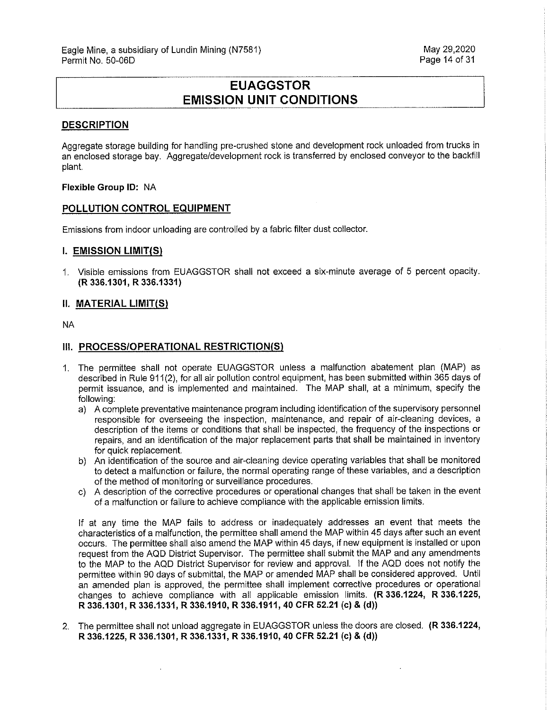# **EUAGGSTOR EMISSION UNIT CONDITIONS**

#### **DESCRIPTION**

Aggregate storage building for handling pre-crushed stone and development rock unloaded from trucks in an enclosed storage bay. Aggregate/development rock is transferred by enclosed conveyor to the backfill plant.

#### **Flexible Group ID:** NA

#### **POLLUTION CONTROL EQUIPMENT**

Emissions from indoor unloading are controlled by a fabric filter dust collector.

#### **I. EMISSION LIMIT(S)**

1. Visible emissions from EUAGGSTOR shall not exceed a six-minute average of 5 percent opacity. **(R 336.1301, R 336.1331)** 

#### **11. MATERIAL LIMIT(S)**

NA

#### **111. PROCESS/OPERATIONAL RESTRICTION(S)**

- 1. The permittee shall not operate EUAGGSTOR unless a malfunction abatement plan (MAP) as described in Rule 911(2), for all air pollution control equipment, has been submitted within 365 days of permit issuance, and is implemented and maintained. The MAP shall, at a minimum, specify the following:
	- a) A complete preventative maintenance program including identification of the supervisory personnel responsible for overseeing the inspection, maintenance, and repair of air-cleaning devices, a description of the items or conditions that shall be inspected, the frequency of the inspections or repairs, and an identification of the major replacement parts that shall be maintained in inventory for quick replacement.
	- b) An identification of the source and air-cleaning device operating variables that shall be monitored to detect a malfunction or failure, the normal operating range of these variables, and a description of the method of monitoring or surveillance procedures.
	- c) A description of the corrective procedures or operational changes that shall be taken in the event of a malfunction or failure to achieve compliance with the applicable emission limits.

If at any time the MAP fails to address or inadequately addresses an event that meets the characteristics of a malfunction, the permittee shall amend the MAP within 45 days after such an event occurs. The permittee shall also amend the MAP within 45 days, if new equipment is installed or upon request from the AQD District Supervisor. The permittee shall submit the MAP and any amendments to the MAP to the AQD District Supervisor for review and approval. If the AQD does not notify the permittee within 90 days of submittal, the MAP or amended MAP shall be considered approved. Until an amended plan is approved, the permittee shall implement corrective procedures or operational changes to achieve compliance with all applicable emission limits. **(R 336.1224, R 336.1225, R 336.1301, R 336.1331, R 336.1910, R 336.1911, 40 CFR 52.21 (c) & (d))** 

2. The permittee shall not unload aggregate in EUAGGSTOR unless the doors are closed. **(R 336.1224, R 336.1225, R 336.1301, R 336.1331, R 336.1910, 40 CFR 52.21 (c) & (d))**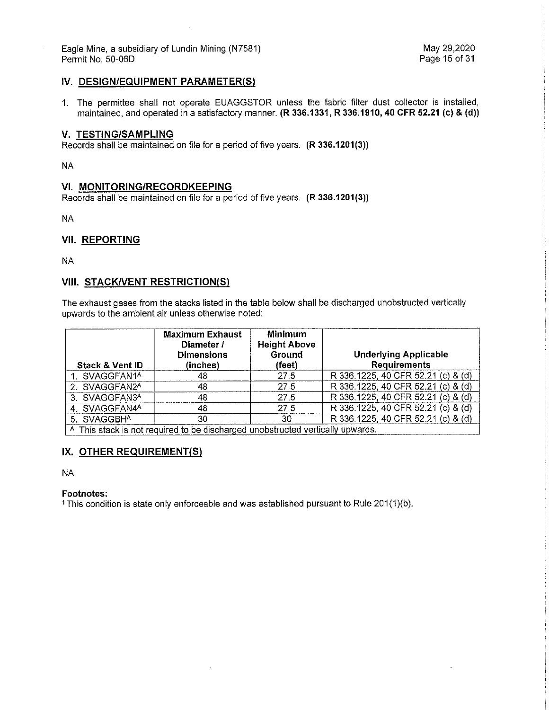Eagle Mine, a subsidiary of Lundin Mining (N7581) and the match of the May 29,2020<br>Permit No. 50-06D May 29,2020 Permit No. 50-06D

#### **IV. DESIGN/EQUIPMENT PARAMETER(S)**

1. The permittee shall not operate EUAGGSTOR unless the fabric filter dust collector is installed, maintained, and operated in a satisfactory manner. **(R 336.1331, R 336.1910, 40 CFR 52.21 (c) & (d))** 

#### **V. TESTING/SAMPLING**

Records shall be maintained on file for a period of five years. **(R 336.1201(3))** 

NA

#### **VI. MONITORING/RECORDKEEPING**

Records shall be maintained on file for a period of five years. **(R 336.1201 (3))** 

NA

#### **VII. REPORTING**

NA

#### **VIII. STACK/VENT RESTRICTION(S)**

The exhaust gases from the stacks listed in the table below shall be discharged unobstructed vertically upwards to the ambient air unless otherwise noted:

| <b>Stack &amp; Vent ID</b>                                                     | <b>Maximum Exhaust</b><br>Diameter /<br><b>Dimensions</b><br>(inches) | Minimum<br><b>Height Above</b><br>Ground<br>(feet) | <b>Underlying Applicable</b><br><b>Requirements</b> |
|--------------------------------------------------------------------------------|-----------------------------------------------------------------------|----------------------------------------------------|-----------------------------------------------------|
| 1. SVAGGFAN1 <sup>A</sup>                                                      | 48                                                                    | 27.5                                               | R 336.1225, 40 CFR 52.21 (c) & (d)                  |
| 2. SVAGGFAN2A                                                                  | 48                                                                    | 27.5                                               | R 336.1225, 40 CFR 52.21 (c) & (d)                  |
| 3. SVAGGFAN3A                                                                  | 48                                                                    | 27.5                                               | R 336.1225, 40 CFR 52.21 (c) & (d)                  |
| 4. SVAGGFAN4A                                                                  | 48                                                                    | 27.5                                               | R 336.1225, 40 CFR 52.21 (c) & (d)                  |
| 5. SVAGGBH <sup>A</sup>                                                        | 30                                                                    | 30.                                                | R 336.1225, 40 CFR 52.21 (c) & (d)                  |
| A This stack is not required to be discharged unobstructed vertically upwards. |                                                                       |                                                    |                                                     |

#### **IX. OTHER REQUIREMENT(S)**

NA

#### **Footnotes:**

<sup>1</sup> This condition is state only enforceable and was established pursuant to Rule 201(1)(b).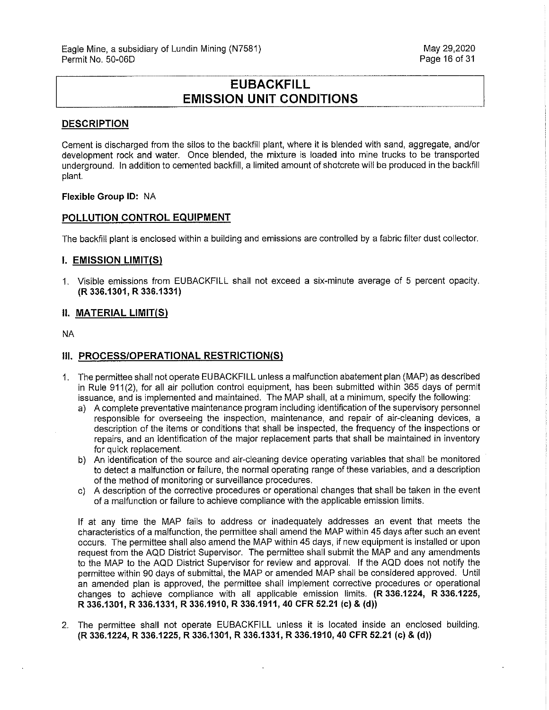# **EUBACKFILL EMISSION UNIT CONDITIONS**

#### **DESCRIPTION**

Cement is discharged from the silos to the backfill plant, where it is blended with sand, aggregate, and/or development rock and water. Once blended, the mixture is loaded into mine trucks to be transported underground. In addition to cemented backfill, a limited amount of shotcrete will be produced in the backfill plant.

#### **Flexible Group ID:** NA

#### **POLLUTION CONTROL EQUIPMENT**

The backfill plant is enclosed within a building and emissions are controlled by a fabric filter dust collector.

#### **I. EMISSION LIMIT(S)**

1. Visible emissions from EUBACKFILL shall not exceed a six-minute average of 5 percent opacity. **(R 336.1301, R 336.1331)** 

#### **11. MATERIAL LIMIT(S)**

NA

#### **III. PROCESS/OPERATIONAL RESTRICTION(S)**

- 1. The permittee shall not operate EU BACKFILL unless a malfunction abatement plan (MAP) as described in Rule 911(2), for all air pollution control equipment, has been submitted within 365 days of permit issuance, and is implemented and maintained. The MAP shall, at a minimum, specify the following:
	- a) A complete preventative maintenance program including identification of the supervisory personnel responsible for overseeing the inspection, maintenance, and repair of air-cleaning devices, a description of the items or conditions that shall be inspected, the frequency of the inspections or repairs, and an identification of the major replacement parts that shall be maintained in inventory for quick replacement.
	- b) An identification of the source and air-cleaning device operating variables that shall be monitored to detect a malfunction or failure, the normal operating range of these variables, and a description of the method of monitoring or surveillance procedures.
	- c) A description of the corrective procedures or operational changes that shall be taken in the event of a malfunction or failure to achieve compliance with the applicable emission limits.

If at any time the MAP fails to address or inadequately addresses an event that meets the characteristics of a malfunction, the permittee shall amend the MAP within 45 days after such an event occurs. The permittee shall also amend the MAP within 45 days, if new equipment is installed or upon request from the AQD District Supervisor. The permittee shall submit the MAP and any amendments to the MAP to the AQD District Supervisor for review and approval. If the AQD does not notify the permittee within 90 days of submittal, the MAP or amended MAP shall be considered approved. Until an amended plan is approved, the permittee shall implement corrective procedures or operational changes to achieve compliance with all applicable emission limits. **(R 336.1224, R 336.1225, R 336.1301, R 336.1331, R 336.1910, R 336.1911, 40 CFR 52.21 (c)** & **(d))** 

2. The permittee shall not operate EUBACKFILL unless it is located inside an enclosed building. **(R 336.1224, R 336.1225, R 336.1301, R 336.1331, R 336.1910, 40 CFR 52.21 (c)** & **(d))**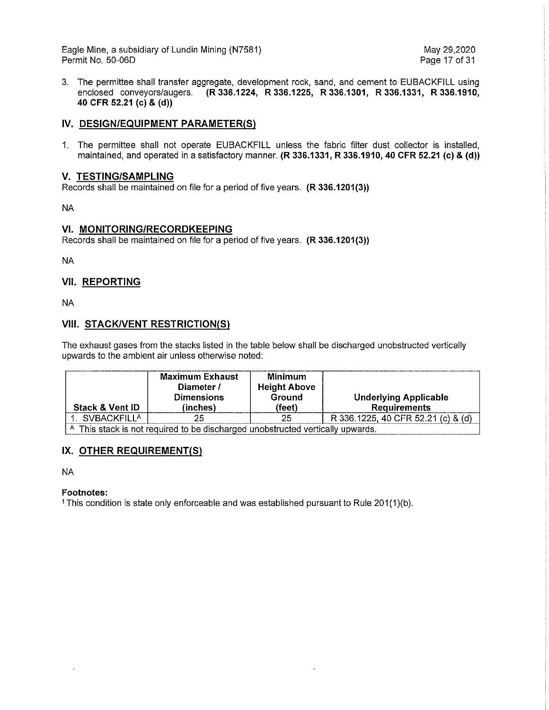Eagle Mine, a subsidiary of Lundin Mining (N7581) May 29,2020 Permit No. 50-06D

3. The permittee shall transfer aggregate, development rock, sand, and cement to EUBACKFILL using enclosed conveyors/augers. **(R 336.1224, R 336.1225, R 336.1301, R 336.1331, R 336.1910, 40 CFR 52.21 (c) & (d))** 

#### **IV. DESIGN/EQUIPMENT PARAMETER(S)**

1. The permittee shall not operate EUBACKFILL unless the fabric filter dust collector is installed, maintained, and operated in a satisfactory manner. **(R 336.1331, R 336.1910, 40 CFR 52.21 (c) & (d))** 

#### **V. TESTING/SAMPLING**

Records shall be maintained on file for a period of five years. **(R 336.1201(3))** 

NA

#### **VI. MONITORING/RECORDKEEPING**

Records shall be maintained on file for a period of five years. **(R 336.1201(3))** 

NA

### **VII. REPORTING**

NA

#### **VIII. STACK/VENT RESTRICTION(S)**

The exhaust gases from the stacks listed in the table below shall be discharged unobstructed vertically upwards to the ambient air unless otherwise noted:

| <b>Stack &amp; Vent ID</b>                                                                | <b>Maximum Exhaust</b><br>Diameter /<br><b>Dimensions</b><br>(inches) | Minimum<br><b>Height Above</b><br>Ground<br>(feet) | <b>Underlying Applicable</b><br><b>Requirements</b> |  |
|-------------------------------------------------------------------------------------------|-----------------------------------------------------------------------|----------------------------------------------------|-----------------------------------------------------|--|
| . SVBACKFILL <sup>A</sup>                                                                 | 25                                                                    | 25                                                 | R 336.1225, 40 CFR 52.21 (c) & (d)                  |  |
| <sup>A</sup> This stack is not required to be discharged unobstructed vertically upwards. |                                                                       |                                                    |                                                     |  |

### **IX. OTHER REQUIREMENT(S)**

NA

#### **Footnotes:**

1 This condition is state only enforceable and was established pursuant to Rule 201(1)(b).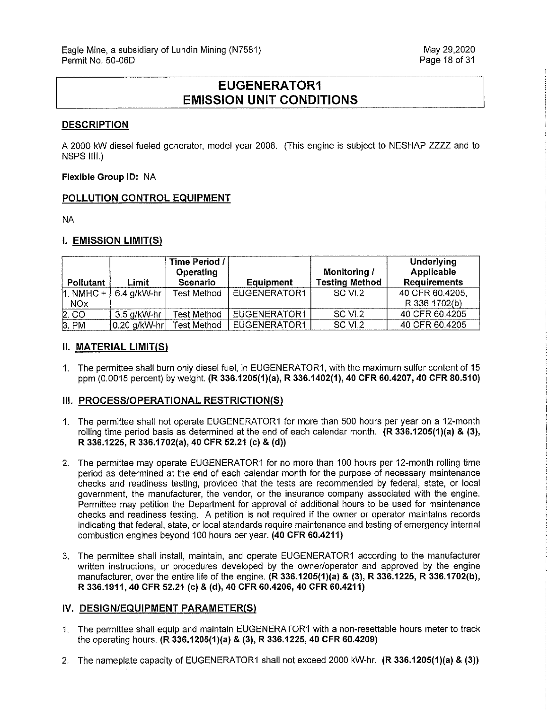# **EUGENERATOR1 EMISSION UNIT CONDITIONS**

#### **DESCRIPTION**

A 2000 kW diesel fueled generator, model year 2008. (This engine is subject to NESHAP ZZZZ and to NSPS IIII.)

**Flexible Group ID:** NA

#### **POLLUTION CONTROL EQUIPMENT**

NA

#### **I. EMISSION LIMIT(S)**

|               |              | Time Period /<br>Operating |              | Monitoring /          | Underlying<br>Applicable |
|---------------|--------------|----------------------------|--------------|-----------------------|--------------------------|
| Pollutant     | Limit        | Scenario                   | Equipment    | <b>Testing Method</b> | <b>Requirements</b>      |
| $1.$ NMHC $+$ | 6.4 g/kW-hr  | <b>Test Method</b>         | EUGENERATOR1 | SC VI.2               | 40 CFR 60 4205,          |
| <b>NOx</b>    |              |                            |              |                       | R 336.1702(b)            |
| $2$ . CO      | 3.5 g/kW-hr  | Test Method                | EUGENERATOR1 | SC VI.2               | 40 CFR 60.4205           |
| $3.$ PM       | 0.20 g/kW-hr | Test Method                | EUGENERATOR1 | SC VI.2               | 40 CFR 60.4205           |

#### **II. MATERIAL LIMIT(S)**

1. The permittee shall burn only diesel fuel, in EUGENERATOR1, with the maximum sulfur content of 15 ppm (0.0015 percent) by weight. **(R 336.1205(1)(a), R 336.1402(1), 40 CFR 60.4207, 40 CFR 80.510)** 

#### **III. PROCESS/OPERATIONAL RESTRICTION(S)**

- 1. The permittee shall not operate EUGENERATOR1 for more than 500 hours per year on a 12-month rolling time period basis as determined at the end of each calendar month. **(R 336.1205(1)(a) & (3), R 336.1225, R 336.1702(a), 40 CFR 52.21 (c)** & **(d))**
- 2. The permittee may operate EUGENERATOR1 for no more than 100 hours per 12-month rolling time period as determined at the end of each calendar month for the purpose of necessary maintenance checks and readiness testing, provided that the tests are recommended by federal, state, or local government, the manufacturer, the vendor, or the insurance company associated with the engine. Permittee may petition the Department for approval of additional hours to be used for maintenance checks and readiness testing. A petition is not required if the owner or operator maintains records indicating that federal, state, or local standards require maintenance and testing of emergency internal combustion engines beyond 100 hours per year. **(40 CFR 60.4211)**
- 3. The permittee shall install, maintain, and operate EUGENERATOR1 according to the manufacturer written instructions, or procedures developed by the owner/operator and approved by the engine manufacturer, over the entire life of the engine. **(R 336.1205(1)(a) & (3), R 336.1225, R 336.1702(b), R 336.1911, 40 CFR 52.21 (c) & (d), 40 CFR 60.4206, 40 CFR 60.4211)**

#### IV. DESIGN/EQUIPMENT PARAMETER(S)

- 1. The permittee shall equip and maintain EUGENERATOR1 with a non-resettable hours meter to track the operating hours. **(R 336.1205(1)(a) & (3), R 336.1225, 40 CFR 60.4209)**
- 2. The nameplate capacity of EUGENERATOR1 shall not exceed 2000 kW-hr. **(R 336.1205(1)(a) & (3))**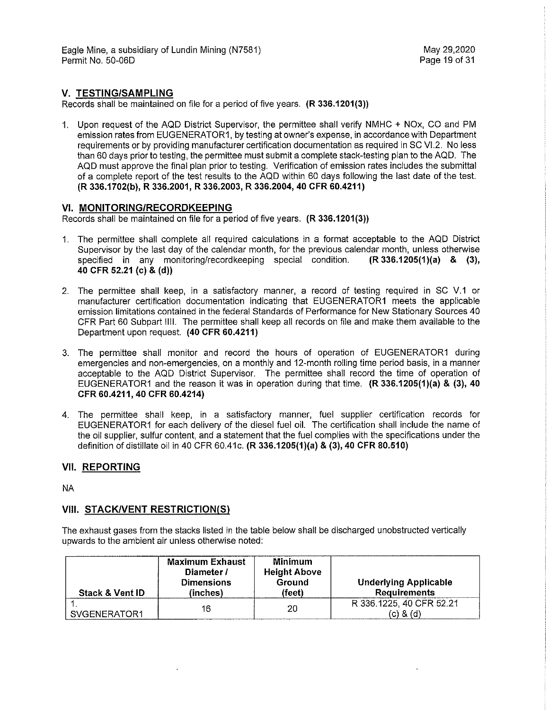### **V. TESTING/SAMPLING**

Records shall be maintained on file for a period of five years. **(R 336.1201(3))** 

1. Upon request of the AQD District Supervisor, the permittee shall verify NMHC + NOx, CO and PM emission rates from EUGENERATOR1, by testing at owner's expense, in accordance with Department requirements or by providing manufacturer certification documentation as required in SC VI.2. No less than 60 days prior to testing, the permittee must submit a complete stack-testing plan to the AQD. The AQD must approve the final plan prior to testing. Verification of emission rates includes the submittal of a complete report of the test results to the AQD within 60 days following the last date of the test. **(R 336.1702(b), R 336.2001, R 336.2003, R 336.2004, 40 CFR 60.4211)** 

#### **VI. MONITORING/RECORDKEEPING**

Records shall be maintained on file for a period of five years. **(R 336.1201(3))** 

- 1. The permittee shall complete all required calculations in a format acceptable to the AQD District Supervisor by the last day of the calendar month, for the previous calendar month, unless otherwise specified in any monitoring/record keeping special condition. **(R 336.1205(1)(a) & (3), 40 CFR 52.21 (c)** & **(d))**
- 2. The permittee shall keep, in a satisfactory manner, a record of testing required in SC V.1 or manufacturer certification documentation indicating that EUGENERATOR1 meets the applicable emission limitations contained in the federal Standards of Performance for New Stationary Sources 40 CFR Part 60 Subpart 1111. The permittee shall keep all records on file and make them available to the Department upon request. **(40 CFR 60.4211)**
- 3. The permittee shall monitor and record the hours of operation of EUGENERATOR1 during emergencies and non-emergencies, on a monthly and 12-month rolling time period basis, in a manner acceptable to the AQD District Supervisor. The permittee shall record the time of operation of EUGENERATOR1 and the reason it was in operation during that time. **(R 336.1205(1)(a)** & **(3), 40 CFR 60.4211, 40 CFR 60.4214)**
- 4. The permittee shall keep, in a satisfactory manner, fuel supplier certification records for EUGENERATOR1 for each delivery of the diesel fuel oil. The certification shall include the name of the oil supplier, sulfur content, and a statement that the fuel complies with the specifications under the definition of distillate oil in 40 CFR 60.41c. **(R 336.1205(1)(a) & (3), 40 CFR 80.510)**

#### **VII. REPORTING**

NA

#### **VIII. STACK/VENT RESTRICTION(S)**

The exhaust gases from the stacks listed in the table below shall be discharged unobstructed vertically upwards to the ambient air unless otherwise noted:

| <b>Stack &amp; Vent ID</b> | <b>Maximum Exhaust</b><br>Diameter /<br><b>Dimensions</b><br>(inches) | Minimum<br><b>Height Above</b><br>Ground<br>(feet) | <b>Underlying Applicable</b><br>Requirements |
|----------------------------|-----------------------------------------------------------------------|----------------------------------------------------|----------------------------------------------|
| SVGENERATOR1               | 16                                                                    | 20                                                 | R 336.1225, 40 CFR 52.21<br>(c) & (d)        |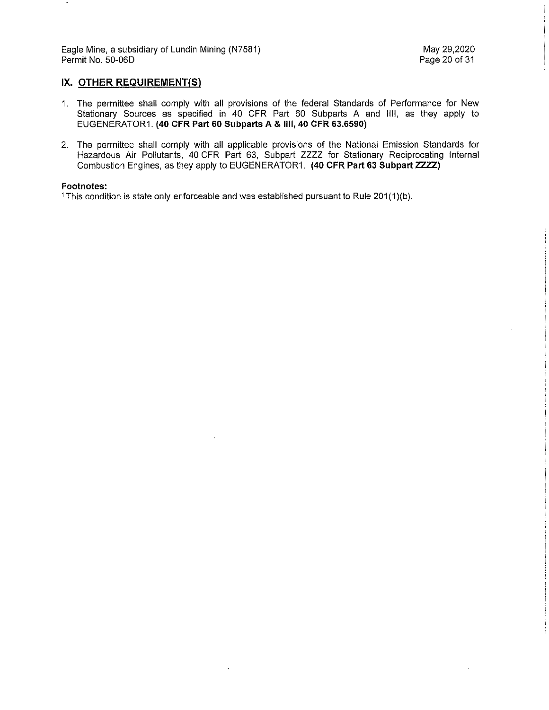Eagle Mine, a subsidiary of Lundin Mining (N7581) May 29,2020 Permit No. 50-06D

### IX. OTHER REQUIREMENT(S)

- 1. The permittee shall comply with all provisions of the federal Standards of Performance for New Stationary Sources as specified in 40 CFR Part 60 Subparts A and 1111, as they apply to EUGENERATOR1. **(40 CFR Part 60 Subparts A & 1111, 40 CFR 63.6590)**
- 2. The permittee shall comply with all applicable provisions of the National Emission Standards for Hazardous Air Pollutants, 40 CFR Part 63, Subpart ZZZZ for Stationary Reciprocating Internal Combustion Engines, as they apply to EUGENERATOR1. **(40 CFR Part 63 Subpart ZZZZ)**

#### **Footnotes:**

<sup>1</sup> This condition is state only enforceable and was established pursuant to Rule 201(1)(b).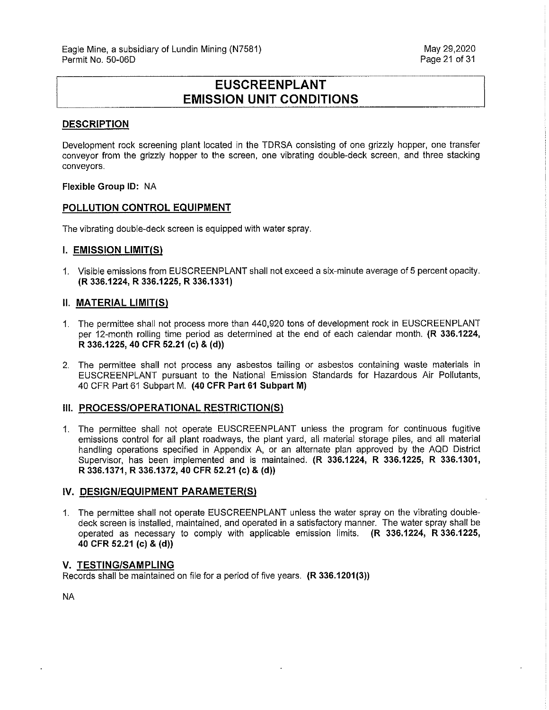# **EUSCREENPLANT EMISSION UNIT CONDITIONS**

#### **DESCRIPTION**

Development rock screening plant located in the TDRSA consisting of one grizzly hopper, one transfer conveyor from the grizzly hopper to the screen, one vibrating double-deck screen, and three stacking conveyors.

#### **Flexible Group ID:** NA

#### **POLLUTION CONTROL EQUIPMENT**

The vibrating double-deck screen is equipped with water spray.

#### **I. EMISSION LIMIT(Sl**

1. Visible emissions from EUSCREENPLANT shall not exceed a six-minute average of 5 percent opacity. **(R 336.1224, R 336.1225, R 336.1331)** 

#### **11. MATERIAL LIMIT(Sl**

- 1. The permittee shall not process more than 440,920 tons of development rock in EUSCREENPLANT per 12-month rolling time period as determined at the end of each calendar month. **(R 336.1224, R 336.1225, 40 CFR 52.21 (c) & (d))**
- 2. The permittee shall not process any asbestos tailing or asbestos containing waste materials in EUSCREENPLANT pursuant to the National Emission Standards for Hazardous Air Pollutants, 40 CFR Part 61 Subpart M. **(40 CFR Part 61 Subpart M)**

#### **III. PROCESS/OPERATIONAL RESTRICTION(S)**

1 The permittee shall not operate EUSCREENPLANT unless the program for continuous fugitive emissions control for all plant roadways, the plant yard, all material storage piles, and all material handling operations specified in Appendix A, or an alternate plan approved by the AQD District Supervisor, has been implemented and is maintained. **(R 336.1224, R 336.1225, R 336.1301, R 336.1371, R 336.1372, 40 CFR 52.21 (c)** & **(d))** 

#### IV. DESIGN/EQUIPMENT PARAMETER(S)

1. The permittee shall not operate EUSCREENPLANT unless the water spray on the vibrating doubledeck screen is installed, maintained, and operated in a satisfactory manner. The water spray shall be operated as necessary to comply with applicable emission limits. **(R 336.1224, R 336.1225, 40 CFR 52.21 (c) & (d))** 

#### **V. TESTING/SAMPLING**

Records shall be maintained on file for a period of five years. **(R 336.1201(3))** 

NA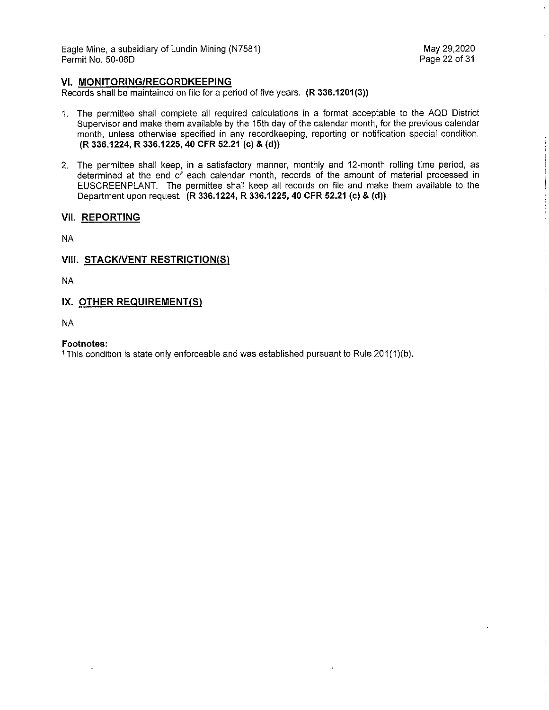Eagle Mine, a subsidiary of Lundin Mining (N7581) May 29,2020 Permit No. 50-06D

#### **VI. MONITORING/RECORDKEEPING**

Records shall be maintained on file for a period of five years. **(R 336.1201(3))** 

- 1. The permittee shall complete all required calculations in a format acceptable to the AQD District Supervisor and make them available by the 15th day of the calendar month, for the previous calendar month, unless otherwise specified in any recordkeeping, reporting or notification special condition. **(R 336.1224, R 336.1225, 40 CFR 52.21 (c)** & **(d))**
- 2. The permittee shall keep, in a satisfactory manner, monthly and 12-month rolling time period, as determined at the end of each calendar month, records of the amount of material processed in EUSCREENPLANT. The permittee shall keep all records on file and make them available to the Department upon request. **(R 336.1224, R 336.1225, 40 CFR 52.21 (c)** & **(d))**

#### **VII. REPORTING**

NA

#### **VIII. STACK/VENT RESTRICTION(S)**

NA

#### **IX. OTHER REQUIREMENT(S)**

NA

#### **Footnotes:**

<sup>1</sup> This condition is state only enforceable and was established pursuant to Rule 201(1)(b).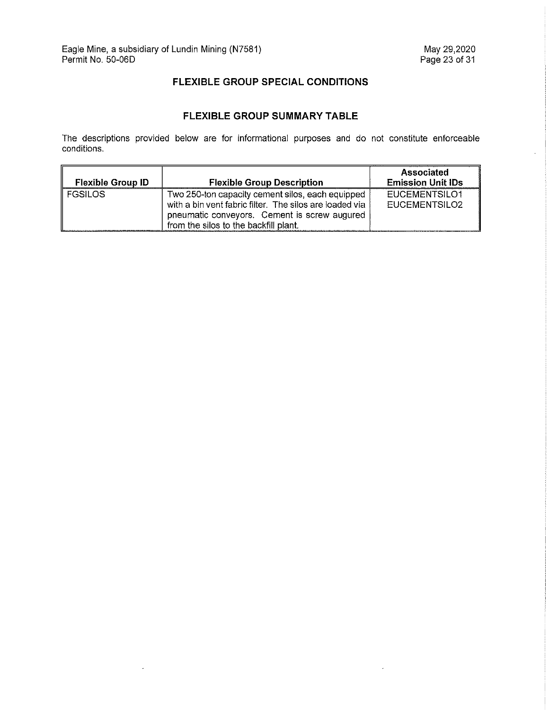$\ddot{\phantom{a}}$ 

 $\overline{\phantom{a}}$ 

 $\ddot{\phantom{a}}$ 

### **FLEXIBLE GROUP SPECIAL CONDITIONS**

## **FLEXIBLE GROUP SUMMARY TABLE**

The descriptions provided below are for informational purposes and do not constitute enforceable conditions.

|                          |                                                                                                                                                                                                      | Associated                     |
|--------------------------|------------------------------------------------------------------------------------------------------------------------------------------------------------------------------------------------------|--------------------------------|
| <b>Flexible Group ID</b> | <b>Flexible Group Description</b>                                                                                                                                                                    | <b>Emission Unit IDs</b>       |
| <b>FGSILOS</b>           | Two 250-ton capacity cement silos, each equipped<br>with a bin vent fabric filter. The silos are loaded via<br>pneumatic conveyors. Cement is screw augured<br>from the silos to the backfill plant. | EUCEMENTSILO1<br>EUCEMENTSILO2 |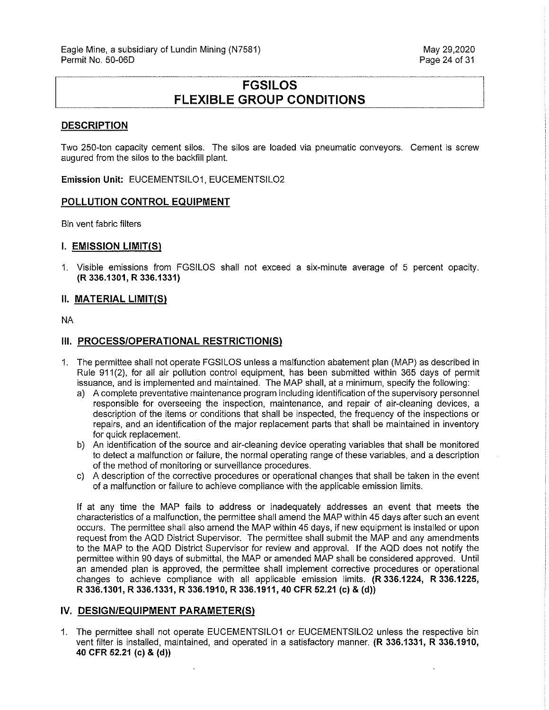# **FGSILOS FLEXIBLE GROUP CONDITIONS**

#### **DESCRIPTION**

Two 250-ton capacity cement silos. The silos are loaded via pneumatic conveyors. Cement is screw augured from the silos to the backfill plant.

**Emission Unit:** EUCEMENTSILO1, EUCEMENTSILO2

#### **POLLUTION CONTROL EQUIPMENT**

Bin vent fabric filters

#### **I. EMISSION LIMIT(S)**

1. Visible emissions from FGSILOS shall not exceed a six-minute average of 5 percent opacity. **(R 336.1301, R 336.1331)** 

#### **II. MATERIAL LIMIT(S)**

NA

#### **III. PROCESS/OPERATIONAL RESTRICTION(S)**

- 1. The permittee shall not operate FGSILOS unless a malfunction abatement plan (MAP) as described in Rule 911 (2), for all air pollution control equipment, has been submitted within 365 days of permit issuance, and is implemented and maintained. The MAP shall, at a minimum, specify the following:
	- a) A complete preventative maintenance program including identification of the supervisory personnel responsible for overseeing the inspection, maintenance, and repair of air-cleaning devices, a description of the items or conditions that shall be inspected, the frequency of the inspections or repairs, and an identification of the major replacement parts that shall be maintained in inventory for quick replacement.
	- b) An identification of the source and air-cleaning device operating variables that shall be monitored to detect a malfunction or failure, the normal operating range of these variables, and a description of the method of monitoring or surveillance procedures.
	- c) A description of the corrective procedures or operational changes that shall be taken in the event of a malfunction or failure to achieve compliance with the applicable emission limits.

If at any time the MAP fails to address or inadequately addresses an event that meets the characteristics of a malfunction, the permittee shall amend the MAP within 45 days after such an event occurs. The permittee shall also amend the MAP within 45 days, if new equipment is installed or upon request from the AQD District Supervisor. The permittee shall submit the MAP and any amendments to the MAP to the AQD District Supervisor for review and approval. If the AQD does not notify the permittee within 90 days of submittal, the MAP or amended MAP shall be considered approved. Until an amended plan is approved, the permittee shall implement corrective procedures or operational changes to achieve compliance with all applicable emission limits. **(R 336.1224, R 336.1225, R 336.1301, R 336.1331, R 336.1910, R 336.1911, 40 CFR 52.21 (c)** & **(d))** 

#### **IV. DESIGN/EQUIPMENT PARAMETER(S)**

1. The permittee shall not operate EUCEMENTSILO1 or EUCEMENTSILO2 unless the respective bin vent filter is installed, maintained, and operated in a satisfactory manner. **(R 336.1331, R 336.1910, 40 CFR 52.21 (c)** & **(d))**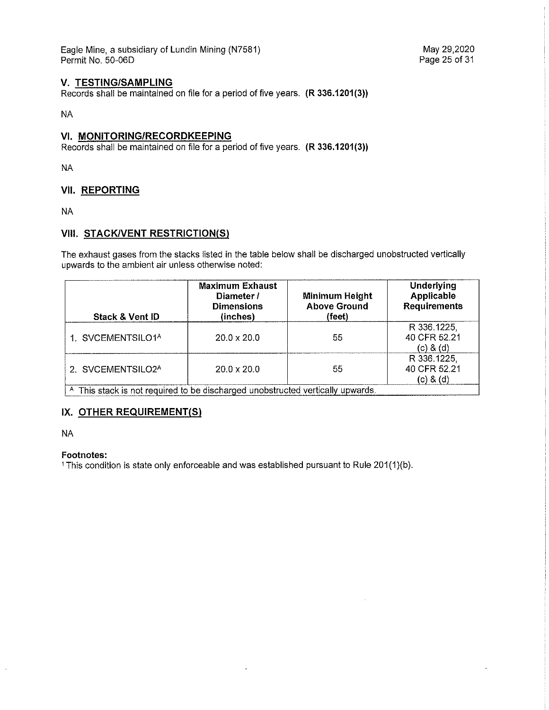Eagle Mine, a subsidiary of Lundin Mining (N7581) Permit No. 50-06D

#### **V. TESTING/SAMPLING**

Records shall be maintained on file for a period of five years. **(R 336.1201(3))** 

NA

#### **VI. MONITORING/RECORDKEEPING**

Records shall be maintained on file for a period of five years. **(R 336.1201(3))** 

NA

#### **VII. REPORTING**

NA

#### **VIII. STACK/VENT RESTRICTION(S)**

The exhaust gases from the stacks listed in the table below shall be discharged unobstructed vertically upwards to the ambient air unless otherwise noted:

| Stack & Vent ID                                                                           | <b>Maximum Exhaust</b><br>Diameter /<br><b>Dimensions</b><br>(inches) | Minimum Height<br><b>Above Ground</b><br>(feet) | <b>Underlying</b><br><b>Applicable</b><br><b>Requirements</b> |
|-------------------------------------------------------------------------------------------|-----------------------------------------------------------------------|-------------------------------------------------|---------------------------------------------------------------|
| 1. SVCEMENTSILO1 <sup>A</sup>                                                             | $20.0 \times 20.0$                                                    | 55                                              | R 336.1225,<br>40 CFR 52.21<br>$(c)$ & $(d)$                  |
| 2. SVCEMENTSILO2A                                                                         | $20.0 \times 20.0$                                                    | 55                                              | R 336.1225,<br>40 CFR 52.21<br>(c) 8 (d)                      |
| <sup>A</sup> This stack is not required to be discharged unobstructed vertically upwards. |                                                                       |                                                 |                                                               |

#### **IX. OTHER REQUIREMENT(S)**

NA

#### **Footnotes:**

1 This condition is state only enforceable and was established pursuant to Rule 201(1)(b).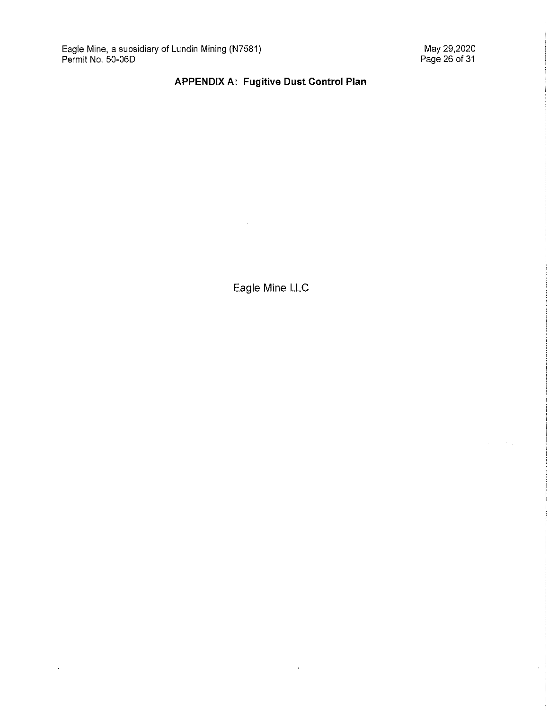$\hat{\mathbf{r}}$ 

 $\ddot{\phantom{0}}$ 

# **APPENDIX A: Fugitive Dust Control Plan**

Eagle Mine LLC

 $\hat{\mathbf{r}}$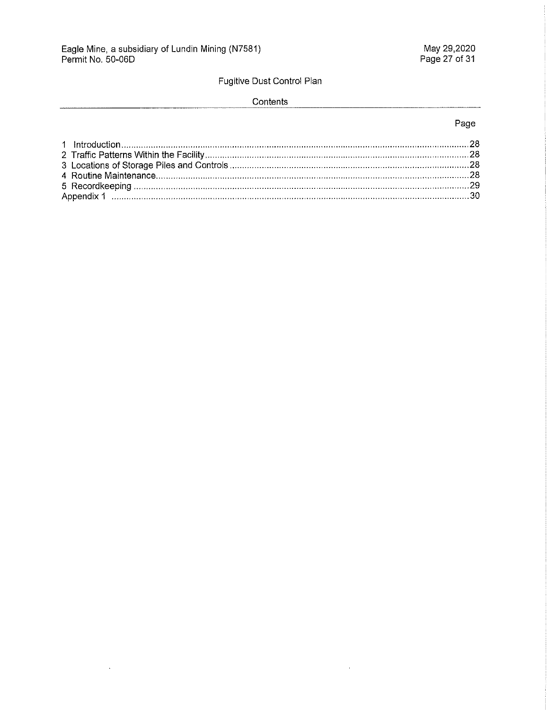$\ddot{\phantom{a}}$ 

# Fugitive Dust Control Plan

#### Contents

### Page

 $\mathcal{A}^{\pm}$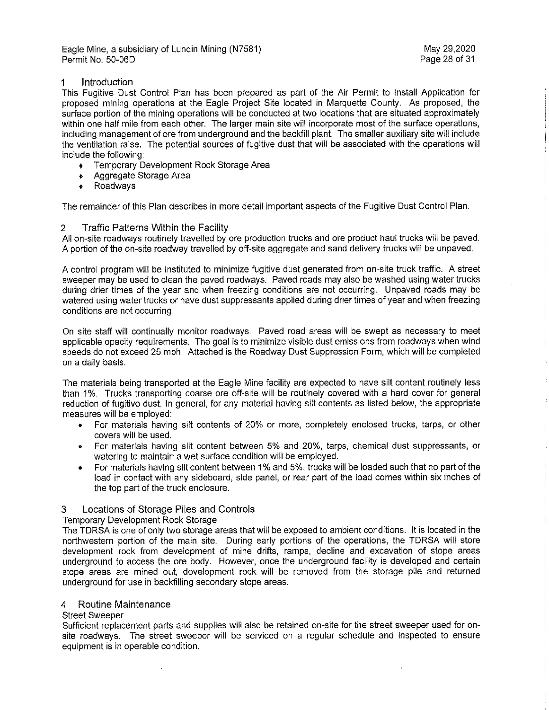Eagle Mine, a subsidiary of Lundin Mining (N7581) May 29,2020 Permit No. 50-06D

#### 1 Introduction

This Fugitive Dust Control Plan has been prepared as part of the Air Permit to Install Application for proposed mining operations at the Eagle Project Site located in Marquette County. As proposed, the surface portion of the mining operations will be conducted at two locations that are situated approximately within one half mile from each other. The larger main site will incorporate most of the surface operations, including management of ore from underground and the backfill plant. The smaller auxiliary site will include the ventilation raise. The potential sources of fugitive dust that will be associated with the operations will include the following:

- + Temporary Development Rock Storage Area
- + Aggregate Storage Area
- + Roadways

The remainder of this Plan describes in more detail important aspects of the Fugitive Dust Control Plan.

#### 2 Traffic Patterns Within the Facility

All on-site roadways routinely travelled by ore production trucks and ore product haul trucks will be paved. A portion of the on-site roadway travelled by off-site aggregate and sand delivery trucks will be unpaved.

A control program will be instituted to minimize fugitive dust generated from on-site truck traffic. A street sweeper may be used to clean the paved roadways. Paved roads may also be washed using water trucks during drier times of the year and when freezing conditions are not occurring. Unpaved roads may be watered using water trucks or have dust suppressants applied during drier times of year and when freezing conditions are not occurring.

On site staff will continually monitor roadways. Paved road areas will be swept as necessary to meet applicable opacity requirements. The goal is to minimize visible dust emissions from roadways when wind speeds do not exceed 25 mph. Attached is the Roadway Dust Suppression Form, which will be completed on a daily basis.

The materials being transported at the Eagle Mine facility are expected to have silt content routinely less than 1%. Trucks transporting coarse ore off-site will be routinely covered with a hard cover for general reduction of fugitive dust. In general, for any material having silt contents as listed below, the appropriate measures will be employed:

- For materials having silt contents of 20% or more, completely enclosed trucks, tarps, or other covers will be used.
- For materials having silt content between 5% and 20%, tarps, chemical dust suppressants, or watering to maintain a wet surface condition will be employed.
- For materials having silt content between 1% and 5%, trucks will be loaded such that no part of the load in contact with any sideboard, side panel, or rear part of the load comes within six inches of the top part of the truck enclosure.

#### 3 Locations of Storage Piles and Controls

#### Temporary Development Rock Storage

The TDRSA is one of only two storage areas that will be exposed to ambient conditions. It is located in the northwestern portion of the main site. During early portions of the operations, the TDRSA will store development rock from development of mine drifts, ramps, decline and excavation of slope areas underground to access the ore body. However, once the underground facility is developed and certain stope areas are mined out, development rock will be removed from the storage pile and returned underground for use in backfilling secondary slope areas.

#### 4 Routine Maintenance

#### Street Sweeper

Sufficient replacement parts and supplies will also be retained on-site for the street sweeper used for onsite roadways. The street sweeper will be serviced on a regular schedule and inspected to ensure equipment is in operable condition.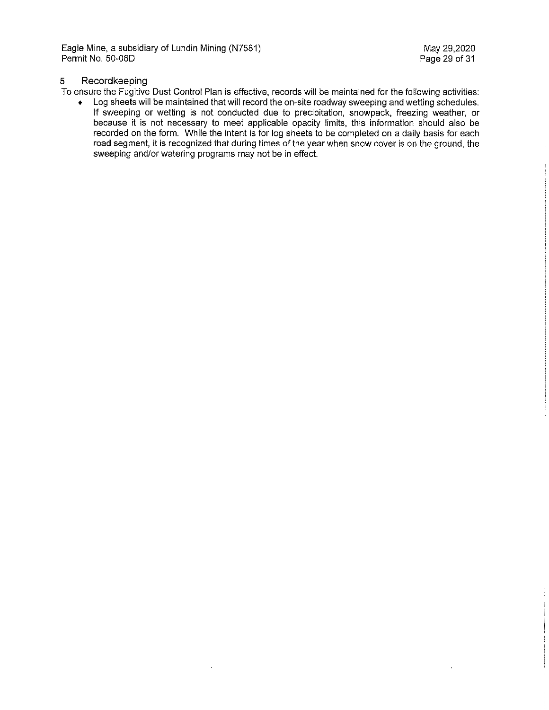Eagle Mine, a subsidiary of Lundin Mining (N7581) and the match of the May 29,2020<br>Permit No. 50-06D error of Australian Mining (N7581) and the May 29 of 31 Permit No. 50-06D

 $\lambda$ 

#### 5 Recordkeeping

To ensure the Fugitive Dust Control Plan is effective, records will be maintained for the following activities:

• Log sheets will be maintained that will record the on-site roadway sweeping and wetting schedules. If sweeping or wetting is not conducted due to precipitation, snowpack, freezing weather, or because it is not necessary to meet applicable opacity limits, this information should also be recorded on the form. While the intent is for log sheets to be completed on a daily basis for each road segment, it is recognized that during times of the year when snow cover is on the ground, the sweeping and/or watering programs may not be in effect.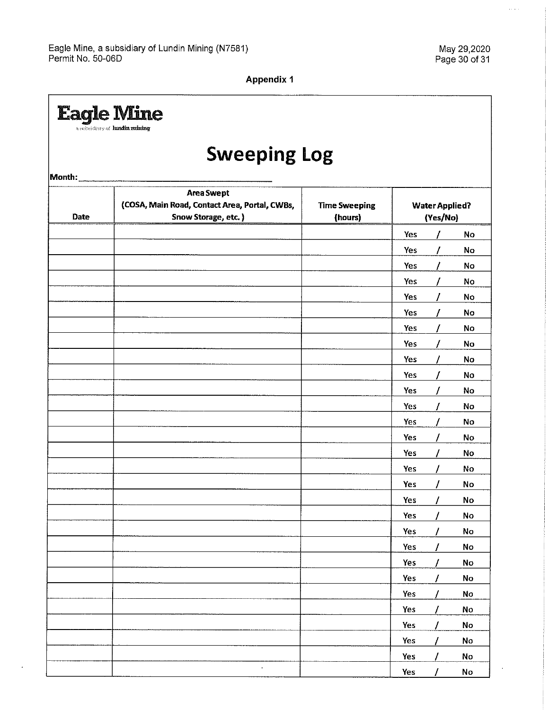$\cdot$ 

 $\hat{z}_i$  is  $\hat{z}$ 

 $\ddot{\phantom{0}}$ 

**Appendix 1** 

|             | <b>Eagle Mine</b><br>a subsidiary of hundin ruining                                       |                                 |                                   |    |
|-------------|-------------------------------------------------------------------------------------------|---------------------------------|-----------------------------------|----|
|             | <b>Sweeping Log</b>                                                                       |                                 |                                   |    |
| Month:      |                                                                                           |                                 |                                   |    |
| <b>Date</b> | <b>Area Swept</b><br>(COSA, Main Road, Contact Area, Portal, CWBs,<br>Snow Storage, etc.) | <b>Time Sweeping</b><br>(hours) | <b>Water Applied?</b><br>(Yes/No) |    |
|             |                                                                                           |                                 | Yes                               | No |
|             |                                                                                           |                                 | Yes                               | No |
|             |                                                                                           |                                 | Yes                               | No |
|             |                                                                                           |                                 | Yes                               | No |
|             |                                                                                           |                                 | Yes                               | No |
|             |                                                                                           |                                 | Yes                               | No |
|             |                                                                                           |                                 | Yes                               | No |
|             |                                                                                           |                                 | Yes                               | No |
|             |                                                                                           |                                 | Yes                               | No |
|             |                                                                                           |                                 | Yes                               | No |
|             |                                                                                           |                                 | Yes                               | No |
|             |                                                                                           |                                 | Yes                               | No |
|             |                                                                                           |                                 | Yes                               | No |
|             |                                                                                           |                                 | Yes                               | No |
|             |                                                                                           |                                 | Yes                               | No |
|             |                                                                                           |                                 | Yes                               | No |
|             |                                                                                           |                                 | Yes                               | No |
|             |                                                                                           |                                 | $\prime$<br>Yes                   | No |
|             |                                                                                           |                                 | Yes                               | No |
|             |                                                                                           |                                 | 1<br>Yes                          | No |
|             |                                                                                           |                                 | Yes<br>I                          | No |
|             |                                                                                           |                                 | Yes<br>7                          | No |
|             |                                                                                           |                                 | Yes                               | No |
|             |                                                                                           |                                 | Yes<br>Ι                          | No |
|             |                                                                                           |                                 | Yes                               | No |
|             |                                                                                           |                                 | Yes<br>7                          | No |
|             |                                                                                           |                                 | Yes                               | No |
|             |                                                                                           |                                 | Yes                               | No |
|             | $\bullet$                                                                                 |                                 | Yes                               | No |